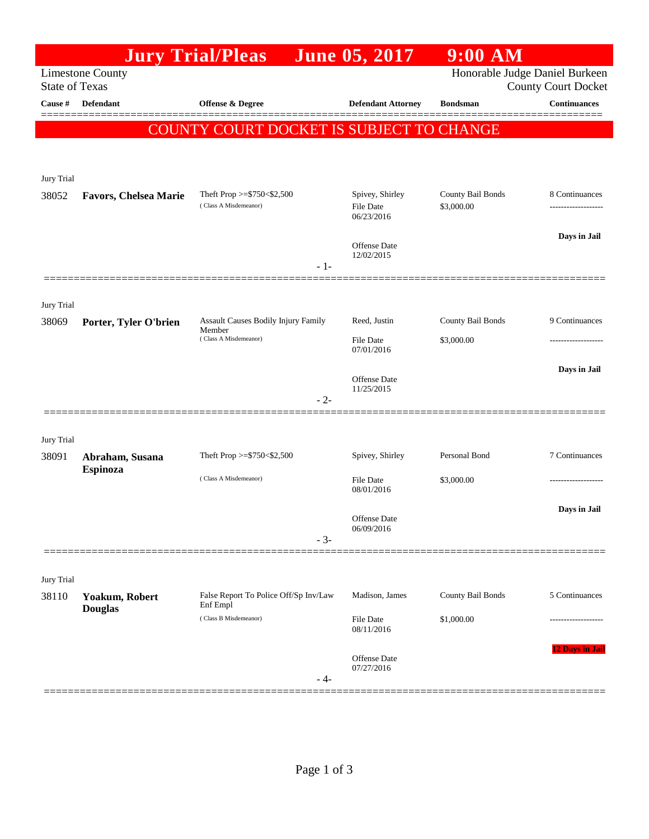|                       |                                    | <b>Jury Trial/Pleas</b>                                                | <b>June 05, 2017</b>                              | $9:00$ AM                       |                                     |
|-----------------------|------------------------------------|------------------------------------------------------------------------|---------------------------------------------------|---------------------------------|-------------------------------------|
| <b>State of Texas</b> | <b>Limestone County</b>            | Honorable Judge Daniel Burkeen<br><b>County Court Docket</b>           |                                                   |                                 |                                     |
| Cause #               | <b>Defendant</b>                   | <b>Offense &amp; Degree</b>                                            | <b>Defendant Attorney</b>                         | <b>Bondsman</b>                 | <b>Continuances</b>                 |
|                       |                                    | COUNTY COURT DOCKET IS SUBJECT TO CHANGE                               |                                                   |                                 |                                     |
| Jury Trial            |                                    |                                                                        |                                                   |                                 |                                     |
| 38052                 | <b>Favors, Chelsea Marie</b>       | Theft Prop $>=$ \$750 < \$2,500<br>(Class A Misdemeanor)<br>- 1-       | Spivey, Shirley<br><b>File Date</b><br>06/23/2016 | County Bail Bonds<br>\$3,000.00 | 8 Continuances<br>----------------- |
|                       |                                    |                                                                        | <b>Offense</b> Date<br>12/02/2015                 |                                 | Days in Jail                        |
| Jury Trial<br>38069   | Porter, Tyler O'brien              | Assault Causes Bodily Injury Family<br>Member<br>(Class A Misdemeanor) | Reed, Justin                                      | County Bail Bonds               | 9 Continuances                      |
|                       |                                    |                                                                        | <b>File Date</b><br>07/01/2016                    | \$3,000.00                      |                                     |
|                       |                                    | $-2-$                                                                  | Offense Date<br>11/25/2015                        |                                 | Days in Jail                        |
| Jury Trial<br>38091   | Abraham, Susana<br><b>Espinoza</b> | Theft Prop >=\$750<\$2,500                                             | Spivey, Shirley                                   | Personal Bond                   | 7 Continuances                      |
|                       |                                    | (Class A Misdemeanor)                                                  | <b>File Date</b><br>08/01/2016                    | \$3,000.00                      |                                     |
|                       |                                    | $-3-$                                                                  | Offense Date<br>06/09/2016                        |                                 | Days in Jail                        |
| Jury Trial<br>38110   | Yoakum, Robert                     | False Report To Police Off/Sp Inv/Law                                  | Madison, James                                    | County Bail Bonds               | 5 Continuances                      |
|                       | <b>Douglas</b>                     | Enf Empl<br>(Class B Misdemeanor)                                      | <b>File Date</b><br>08/11/2016                    | \$1,000.00                      |                                     |
|                       |                                    | - 4-                                                                   | Offense Date<br>07/27/2016                        |                                 | 12 Days in Jail                     |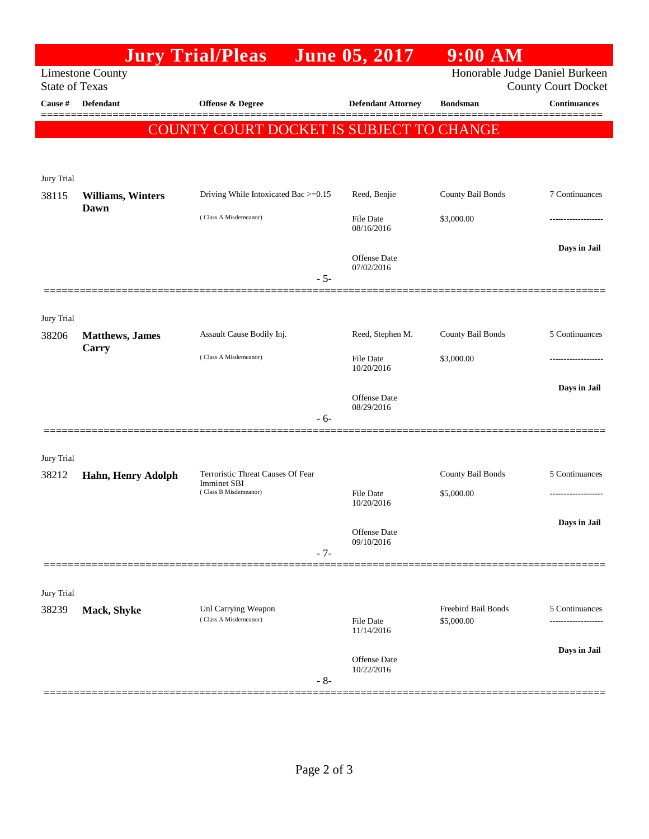|                                                                                                                  |                                          | <b>Jury Trial/Pleas</b>                                 | <b>June 05, 2017</b>              | $9:00$ AM                         |                     |  |  |  |  |
|------------------------------------------------------------------------------------------------------------------|------------------------------------------|---------------------------------------------------------|-----------------------------------|-----------------------------------|---------------------|--|--|--|--|
| Honorable Judge Daniel Burkeen<br><b>Limestone County</b><br><b>State of Texas</b><br><b>County Court Docket</b> |                                          |                                                         |                                   |                                   |                     |  |  |  |  |
| Cause #                                                                                                          | <b>Defendant</b>                         | Offense & Degree                                        | <b>Defendant Attorney</b>         | <b>Bondsman</b>                   | <b>Continuances</b> |  |  |  |  |
|                                                                                                                  | COUNTY COURT DOCKET IS SUBJECT TO CHANGE |                                                         |                                   |                                   |                     |  |  |  |  |
| Jury Trial                                                                                                       |                                          |                                                         |                                   |                                   |                     |  |  |  |  |
| 38115                                                                                                            | <b>Williams, Winters</b>                 | Driving While Intoxicated Bac >=0.15                    | Reed, Benjie                      | County Bail Bonds                 | 7 Continuances      |  |  |  |  |
|                                                                                                                  | Dawn                                     | (Class A Misdemeanor)                                   | <b>File Date</b><br>08/16/2016    | \$3,000.00                        |                     |  |  |  |  |
|                                                                                                                  |                                          | $-5-$                                                   | <b>Offense Date</b><br>07/02/2016 |                                   | Days in Jail        |  |  |  |  |
|                                                                                                                  |                                          |                                                         |                                   |                                   |                     |  |  |  |  |
| Jury Trial<br>38206                                                                                              | <b>Matthews</b> , James<br>Carry         | Assault Cause Bodily Inj.                               | Reed, Stephen M.                  | County Bail Bonds                 | 5 Continuances      |  |  |  |  |
|                                                                                                                  |                                          | (Class A Misdemeanor)                                   | <b>File Date</b><br>10/20/2016    | \$3,000.00                        | .                   |  |  |  |  |
|                                                                                                                  |                                          | - 6-                                                    | <b>Offense Date</b><br>08/29/2016 |                                   | Days in Jail        |  |  |  |  |
|                                                                                                                  |                                          |                                                         |                                   |                                   |                     |  |  |  |  |
| Jury Trial<br>38212                                                                                              | Hahn, Henry Adolph                       | Terroristic Threat Causes Of Fear<br><b>Imminet SBI</b> |                                   | County Bail Bonds                 | 5 Continuances      |  |  |  |  |
|                                                                                                                  |                                          | (Class B Misdemeanor)                                   | File Date<br>10/20/2016           | \$5,000.00                        | ------------------- |  |  |  |  |
|                                                                                                                  |                                          | $-7-$                                                   | <b>Offense</b> Date<br>09/10/2016 |                                   | Days in Jail        |  |  |  |  |
|                                                                                                                  |                                          |                                                         |                                   |                                   |                     |  |  |  |  |
| Jury Trial                                                                                                       |                                          |                                                         |                                   |                                   |                     |  |  |  |  |
| 38239                                                                                                            | Mack, Shyke                              | Unl Carrying Weapon<br>(Class A Misdemeanor)            | File Date                         | Freebird Bail Bonds<br>\$5,000.00 | 5 Continuances<br>. |  |  |  |  |
|                                                                                                                  |                                          | $-8-$                                                   | 11/14/2016                        |                                   |                     |  |  |  |  |
|                                                                                                                  |                                          |                                                         | <b>Offense</b> Date<br>10/22/2016 |                                   | Days in Jail        |  |  |  |  |